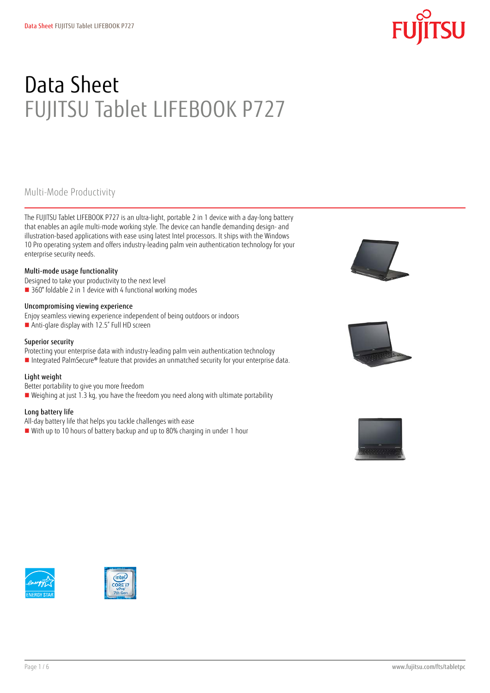# Data Sheet FUJITSU Tablet LIFEBOOK P727

### Multi-Mode Productivity

The FUJITSU Tablet LIFEBOOK P727 is an ultra-light, portable 2 in 1 device with a day-long battery that enables an agile multi-mode working style. The device can handle demanding design- and illustration-based applications with ease using latest Intel processors. It ships with the Windows 10 Pro operating system and offers industry-leading palm vein authentication technology for your enterprise security needs.

### Multi-mode usage functionality

Designed to take your productivity to the next level

■ 360° foldable 2 in 1 device with 4 functional working modes

### Uncompromising viewing experience

- Enjoy seamless viewing experience independent of being outdoors or indoors
- Anti-glare display with 12.5" Full HD screen

### Superior security

- Protecting your enterprise data with industry-leading palm vein authentication technology
- Integrated PalmSecure® feature that provides an unmatched security for your enterprise data.

### Light weight

- Better portability to give you more freedom
- Weighing at just 1.3 kg, you have the freedom you need along with ultimate portability

### Long battery life

- All-day battery life that helps you tackle challenges with ease
- With up to 10 hours of battery backup and up to 80% charging in under 1 hour









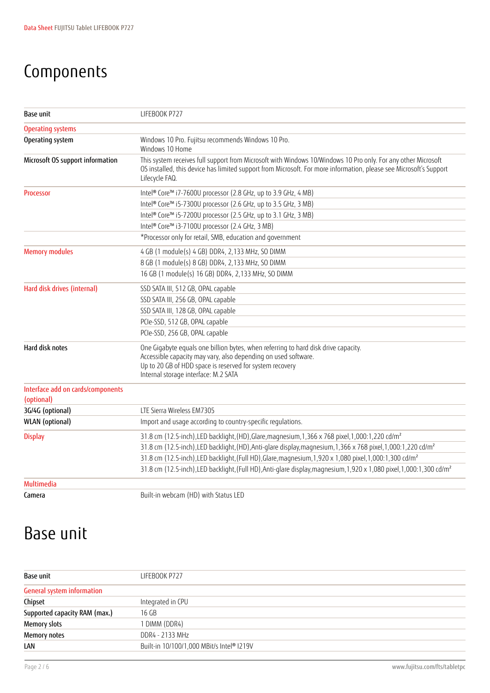## Components

| Base unit                                       | LIFEBOOK P727                                                                                                                                                                                                                                            |  |  |  |  |
|-------------------------------------------------|----------------------------------------------------------------------------------------------------------------------------------------------------------------------------------------------------------------------------------------------------------|--|--|--|--|
| <b>Operating systems</b>                        |                                                                                                                                                                                                                                                          |  |  |  |  |
| Operating system                                | Windows 10 Pro. Fujitsu recommends Windows 10 Pro.<br>Windows 10 Home                                                                                                                                                                                    |  |  |  |  |
| Microsoft OS support information                | This system receives full support from Microsoft with Windows 10/Windows 10 Pro only. For any other Microsoft<br>OS installed, this device has limited support from Microsoft. For more information, please see Microsoft's Support<br>Lifecycle FAQ.    |  |  |  |  |
| <b>Processor</b>                                | Intel® Core™ i7-7600U processor (2.8 GHz, up to 3.9 GHz, 4 MB)                                                                                                                                                                                           |  |  |  |  |
|                                                 | Intel® Core™ i5-7300U processor (2.6 GHz, up to 3.5 GHz, 3 MB)                                                                                                                                                                                           |  |  |  |  |
|                                                 | Intel® Core™ i5-7200U processor (2.5 GHz, up to 3.1 GHz, 3 MB)                                                                                                                                                                                           |  |  |  |  |
|                                                 | Intel® Core™ i3-7100U processor (2.4 GHz, 3 MB)                                                                                                                                                                                                          |  |  |  |  |
|                                                 | *Processor only for retail, SMB, education and government                                                                                                                                                                                                |  |  |  |  |
| <b>Memory modules</b>                           | 4 GB (1 module(s) 4 GB) DDR4, 2,133 MHz, SO DIMM                                                                                                                                                                                                         |  |  |  |  |
|                                                 | 8 GB (1 module(s) 8 GB) DDR4, 2,133 MHz, SO DIMM                                                                                                                                                                                                         |  |  |  |  |
|                                                 | 16 GB (1 module(s) 16 GB) DDR4, 2,133 MHz, SO DIMM                                                                                                                                                                                                       |  |  |  |  |
| Hard disk drives (internal)                     | SSD SATA III, 512 GB, OPAL capable                                                                                                                                                                                                                       |  |  |  |  |
|                                                 | SSD SATA III, 256 GB, OPAL capable                                                                                                                                                                                                                       |  |  |  |  |
|                                                 | SSD SATA III, 128 GB, OPAL capable                                                                                                                                                                                                                       |  |  |  |  |
|                                                 | PCIe-SSD, 512 GB, OPAL capable                                                                                                                                                                                                                           |  |  |  |  |
|                                                 | PCIe-SSD, 256 GB, OPAL capable                                                                                                                                                                                                                           |  |  |  |  |
| Hard disk notes                                 | One Gigabyte equals one billion bytes, when referring to hard disk drive capacity.<br>Accessible capacity may vary, also depending on used software.<br>Up to 20 GB of HDD space is reserved for system recovery<br>Internal storage interface: M.2 SATA |  |  |  |  |
| Interface add on cards/components<br>(optional) |                                                                                                                                                                                                                                                          |  |  |  |  |
| 3G/4G (optional)                                | LTE Sierra Wireless EM7305                                                                                                                                                                                                                               |  |  |  |  |
| WLAN (optional)                                 | Import and usage according to country-specific regulations.                                                                                                                                                                                              |  |  |  |  |
| <b>Display</b>                                  | 31.8 cm (12.5-inch), LED backlight, (HD), Glare, magnesium, 1,366 x 768 pixel, 1,000:1,220 cd/m <sup>2</sup>                                                                                                                                             |  |  |  |  |
|                                                 | 31.8 cm (12.5-inch), LED backlight, (HD), Anti-glare display, magnesium, 1, 366 x 768 pixel, 1, 000:1, 220 cd/m <sup>2</sup>                                                                                                                             |  |  |  |  |
|                                                 | 31.8 cm (12.5-inch), LED backlight, (Full HD), Glare, magnesium, 1,920 x 1,080 pixel, 1,000:1,300 cd/m <sup>2</sup>                                                                                                                                      |  |  |  |  |
|                                                 | 31.8 cm (12.5-inch), LED backlight, (Full HD), Anti-glare display, magnesium, 1,920 x 1,080 pixel, 1,000:1,300 cd/m <sup>2</sup>                                                                                                                         |  |  |  |  |
| <b>Multimedia</b>                               |                                                                                                                                                                                                                                                          |  |  |  |  |
| Camera                                          | Built-in webcam (HD) with Status LED                                                                                                                                                                                                                     |  |  |  |  |

## Base unit

| Base unit                         | LIFEBOOK P727                             |  |  |  |
|-----------------------------------|-------------------------------------------|--|--|--|
| <b>General system information</b> |                                           |  |  |  |
| Chipset                           | Integrated in CPU                         |  |  |  |
| Supported capacity RAM (max.)     | 16 GB                                     |  |  |  |
| <b>Memory slots</b>               | I DIMM (DDR4)                             |  |  |  |
| Memory notes                      | DDR4 - 2133 MHz                           |  |  |  |
| LAN                               | Built-in 10/100/1,000 MBit/s Intel® I219V |  |  |  |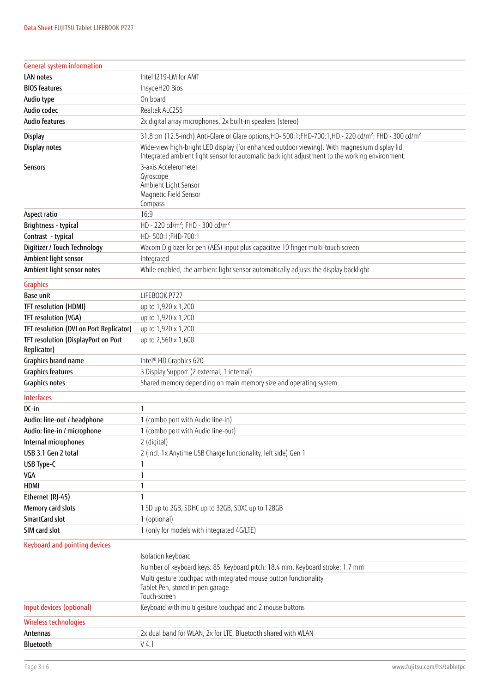| <b>General system information</b>                  |                                                                                                                                                                                                 |  |  |  |  |
|----------------------------------------------------|-------------------------------------------------------------------------------------------------------------------------------------------------------------------------------------------------|--|--|--|--|
| LAN notes                                          | Intel I219-LM for AMT                                                                                                                                                                           |  |  |  |  |
| <b>BIOS features</b>                               | InsydeH20 Bios                                                                                                                                                                                  |  |  |  |  |
| Audio type                                         | On board                                                                                                                                                                                        |  |  |  |  |
| Audio codec                                        | Realtek ALC255                                                                                                                                                                                  |  |  |  |  |
| <b>Audio features</b>                              | 2x digital array microphones, 2x built-in speakers (stereo)                                                                                                                                     |  |  |  |  |
| Display                                            | 31.8 cm (12.5-inch), Anti-Glare or Glare options, HD-500:1; FHD-700:1, HD-220 cd/m <sup>2</sup> ; FHD-300 cd/m <sup>2</sup>                                                                     |  |  |  |  |
| Display notes                                      | Wide-view high-bright LED display (for enhanced outdoor viewing). With magnesium display lid.<br>Integrated ambient light sensor for automatic backlight adjustment to the working environment. |  |  |  |  |
| Sensors                                            | 3-axis Accelerometer<br>Gyroscope<br>Ambient Light Sensor<br>Magnetic Field Sensor<br>Compass                                                                                                   |  |  |  |  |
| Aspect ratio                                       | 16:9                                                                                                                                                                                            |  |  |  |  |
| Brightness - typical                               | HD - 220 cd/m <sup>2</sup> ; FHD - 300 cd/m <sup>2</sup>                                                                                                                                        |  |  |  |  |
| Contrast - typical                                 | HD-500:1;FHD-700:1                                                                                                                                                                              |  |  |  |  |
| Digitizer / Touch Technology                       | Wacom Digitizer for pen (AES) input plus capacitive 10 finger multi-touch screen                                                                                                                |  |  |  |  |
| Ambient light sensor                               | Integrated                                                                                                                                                                                      |  |  |  |  |
| Ambient light sensor notes                         | While enabled, the ambient light sensor automatically adjusts the display backlight                                                                                                             |  |  |  |  |
| <b>Graphics</b>                                    |                                                                                                                                                                                                 |  |  |  |  |
| <b>Base unit</b>                                   | LIFEBOOK P727                                                                                                                                                                                   |  |  |  |  |
| TFT resolution (HDMI)                              | up to 1,920 x 1,200                                                                                                                                                                             |  |  |  |  |
| TFT resolution (VGA)                               | up to 1,920 x 1,200                                                                                                                                                                             |  |  |  |  |
| TFT resolution (DVI on Port Replicator)            | up to 1,920 x 1,200                                                                                                                                                                             |  |  |  |  |
| TFT resolution (DisplayPort on Port<br>Replicator) | up to 2,560 x 1,600                                                                                                                                                                             |  |  |  |  |
| Graphics brand name                                | Intel® HD Graphics 620                                                                                                                                                                          |  |  |  |  |
| <b>Graphics features</b>                           | 3 Display Support (2 external, 1 internal)                                                                                                                                                      |  |  |  |  |
| <b>Graphics notes</b>                              | Shared memory depending on main memory size and operating system                                                                                                                                |  |  |  |  |
| <b>Interfaces</b>                                  |                                                                                                                                                                                                 |  |  |  |  |
| DC-in                                              | $\mathbf{1}$                                                                                                                                                                                    |  |  |  |  |
| Audio: line-out / headphone                        | 1 (combo port with Audio line-in)                                                                                                                                                               |  |  |  |  |
| Audio: line-in / microphone                        | (combo port with Audio line-out)                                                                                                                                                                |  |  |  |  |
| Internal microphones                               | 2 (digital)                                                                                                                                                                                     |  |  |  |  |
| USB 3.1 Gen 2 total                                | 2 (incl. 1x Anytime USB Charge functionality, left side) Gen 1                                                                                                                                  |  |  |  |  |
| USB Type-C                                         |                                                                                                                                                                                                 |  |  |  |  |
| VGA                                                | 1                                                                                                                                                                                               |  |  |  |  |
| <b>HDMI</b>                                        | 1                                                                                                                                                                                               |  |  |  |  |
| Ethernet (RJ-45)                                   | 1                                                                                                                                                                                               |  |  |  |  |
| Memory card slots                                  | 1 SD up to 2GB, SDHC up to 32GB, SDXC up to 128GB                                                                                                                                               |  |  |  |  |
| SmartCard slot                                     | 1 (optional)                                                                                                                                                                                    |  |  |  |  |
| SIM card slot                                      | 1 (only for models with integrated 4G/LTE)                                                                                                                                                      |  |  |  |  |
| <b>Keyboard and pointing devices</b>               |                                                                                                                                                                                                 |  |  |  |  |
|                                                    | Isolation keyboard                                                                                                                                                                              |  |  |  |  |
|                                                    | Number of keyboard keys: 85, Keyboard pitch: 18.4 mm, Keyboard stroke: 1.7 mm                                                                                                                   |  |  |  |  |
|                                                    | Multi gesture touchpad with integrated mouse button functionality<br>Tablet Pen, stored in pen garage<br>Touch-screen                                                                           |  |  |  |  |
| Input devices (optional)                           | Keyboard with multi gesture touchpad and 2 mouse buttons                                                                                                                                        |  |  |  |  |
| Wireless technologies                              |                                                                                                                                                                                                 |  |  |  |  |
| Antennas                                           | 2x dual band for WLAN, 2x for LTE, Bluetooth shared with WLAN                                                                                                                                   |  |  |  |  |
| Bluetooth                                          | V4.1                                                                                                                                                                                            |  |  |  |  |
|                                                    |                                                                                                                                                                                                 |  |  |  |  |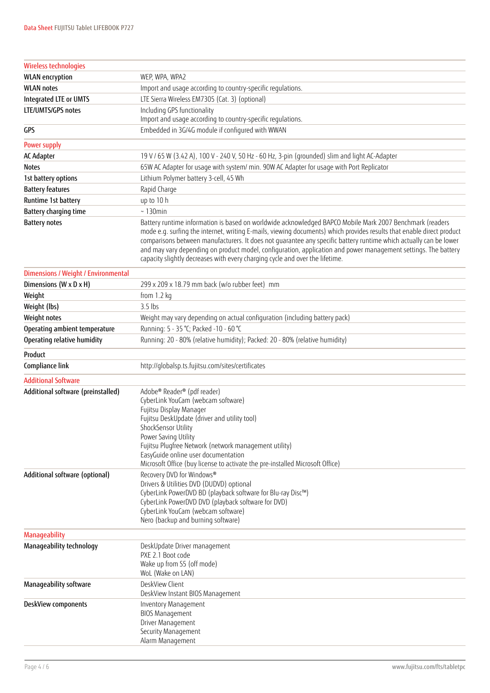| Wireless technologies               |                                                                                                                                                                                                                                                                                                                                                                                                                                                                                                                                                          |  |  |  |  |
|-------------------------------------|----------------------------------------------------------------------------------------------------------------------------------------------------------------------------------------------------------------------------------------------------------------------------------------------------------------------------------------------------------------------------------------------------------------------------------------------------------------------------------------------------------------------------------------------------------|--|--|--|--|
| <b>WLAN</b> encryption              | WEP, WPA, WPA2                                                                                                                                                                                                                                                                                                                                                                                                                                                                                                                                           |  |  |  |  |
| <b>WLAN</b> notes                   | Import and usage according to country-specific regulations.                                                                                                                                                                                                                                                                                                                                                                                                                                                                                              |  |  |  |  |
| Integrated LTE or UMTS              | LTE Sierra Wireless EM7305 (Cat. 3) (optional)                                                                                                                                                                                                                                                                                                                                                                                                                                                                                                           |  |  |  |  |
| LTE/UMTS/GPS notes                  | Including GPS functionality<br>Import and usage according to country-specific regulations.                                                                                                                                                                                                                                                                                                                                                                                                                                                               |  |  |  |  |
| GPS                                 | Embedded in 3G/4G module if configured with WWAN                                                                                                                                                                                                                                                                                                                                                                                                                                                                                                         |  |  |  |  |
| Power supply                        |                                                                                                                                                                                                                                                                                                                                                                                                                                                                                                                                                          |  |  |  |  |
| AC Adapter                          | 19 V / 65 W (3.42 A), 100 V - 240 V, 50 Hz - 60 Hz, 3-pin (grounded) slim and light AC-Adapter                                                                                                                                                                                                                                                                                                                                                                                                                                                           |  |  |  |  |
| <b>Notes</b>                        | 65W AC Adapter for usage with system/ min. 90W AC Adapter for usage with Port Replicator                                                                                                                                                                                                                                                                                                                                                                                                                                                                 |  |  |  |  |
| 1st battery options                 | Lithium Polymer battery 3-cell, 45 Wh                                                                                                                                                                                                                                                                                                                                                                                                                                                                                                                    |  |  |  |  |
| <b>Battery features</b>             | Rapid Charge                                                                                                                                                                                                                                                                                                                                                                                                                                                                                                                                             |  |  |  |  |
| Runtime 1st battery                 | up to 10 h                                                                                                                                                                                                                                                                                                                                                                                                                                                                                                                                               |  |  |  |  |
| Battery charging time               | $~\sim$ 130min                                                                                                                                                                                                                                                                                                                                                                                                                                                                                                                                           |  |  |  |  |
| <b>Battery notes</b>                | Battery runtime information is based on worldwide acknowledged BAPCO Mobile Mark 2007 Benchmark (readers<br>mode e.q. surfing the internet, writing E-mails, viewing documents) which provides results that enable direct product<br>comparisons between manufacturers. It does not quarantee any specific battery runtime which actually can be lower<br>and may vary depending on product model, configuration, application and power management settings. The battery<br>capacity slightly decreases with every charging cycle and over the lifetime. |  |  |  |  |
| Dimensions / Weight / Environmental |                                                                                                                                                                                                                                                                                                                                                                                                                                                                                                                                                          |  |  |  |  |
| Dimensions (W x D x H)              | 299 x 209 x 18.79 mm back (w/o rubber feet) mm                                                                                                                                                                                                                                                                                                                                                                                                                                                                                                           |  |  |  |  |
| Weight                              | from $1.2$ kg                                                                                                                                                                                                                                                                                                                                                                                                                                                                                                                                            |  |  |  |  |
| Weight (lbs)                        | $3.5$ lbs                                                                                                                                                                                                                                                                                                                                                                                                                                                                                                                                                |  |  |  |  |
| Weight notes                        | Weight may vary depending on actual configuration (including battery pack)                                                                                                                                                                                                                                                                                                                                                                                                                                                                               |  |  |  |  |
| Operating ambient temperature       | Running: 5 - 35 °C; Packed -10 - 60 °C                                                                                                                                                                                                                                                                                                                                                                                                                                                                                                                   |  |  |  |  |
| Operating relative humidity         | Running: 20 - 80% (relative humidity); Packed: 20 - 80% (relative humidity)                                                                                                                                                                                                                                                                                                                                                                                                                                                                              |  |  |  |  |
| Product                             |                                                                                                                                                                                                                                                                                                                                                                                                                                                                                                                                                          |  |  |  |  |
| Compliance link                     | http://globalsp.ts.fujitsu.com/sites/certificates                                                                                                                                                                                                                                                                                                                                                                                                                                                                                                        |  |  |  |  |
| <b>Additional Software</b>          |                                                                                                                                                                                                                                                                                                                                                                                                                                                                                                                                                          |  |  |  |  |
| Additional software (preinstalled)  | Adobe® Reader® (pdf reader)<br>CyberLink YouCam (webcam software)<br>Fujitsu Display Manager<br>Fujitsu DeskUpdate (driver and utility tool)<br>ShockSensor Utility<br>Power Saving Utility<br>Fujitsu Plugfree Network (network management utility)<br>EasyGuide online user documentation<br>Microsoft Office (buy license to activate the pre-installed Microsoft Office)                                                                                                                                                                             |  |  |  |  |
| Additional software (optional)      | Recovery DVD for Windows®<br>Drivers & Utilities DVD (DUDVD) optional<br>CyberLink PowerDVD BD (playback software for Blu-ray Disc™)<br>CyberLink PowerDVD DVD (playback software for DVD)<br>CyberLink YouCam (webcam software)<br>Nero (backup and burning software)                                                                                                                                                                                                                                                                                   |  |  |  |  |
| <b>Manageability</b>                |                                                                                                                                                                                                                                                                                                                                                                                                                                                                                                                                                          |  |  |  |  |
| Manageability technology            | DeskUpdate Driver management<br>PXE 2.1 Boot code<br>Wake up from S5 (off mode)<br>WoL (Wake on LAN)                                                                                                                                                                                                                                                                                                                                                                                                                                                     |  |  |  |  |
| Manageability software              | DeskView Client<br>DeskView Instant BIOS Management                                                                                                                                                                                                                                                                                                                                                                                                                                                                                                      |  |  |  |  |
| DeskView components                 | Inventory Management<br><b>BIOS Management</b><br>Driver Management<br>Security Management<br>Alarm Management                                                                                                                                                                                                                                                                                                                                                                                                                                           |  |  |  |  |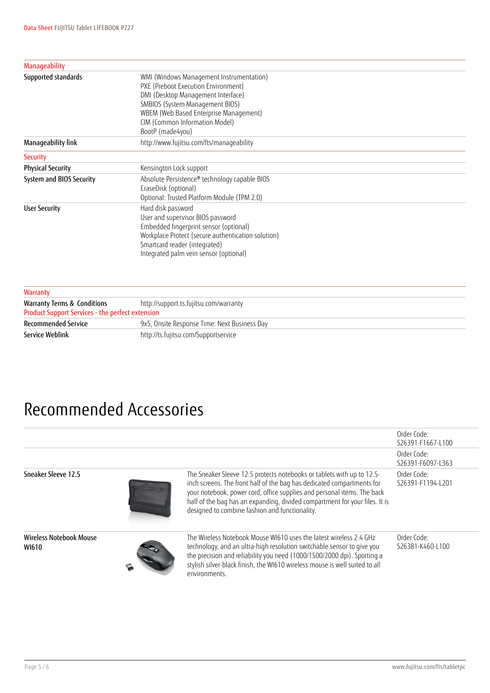| Supported standards<br>WMI (Windows Management Instrumentation)<br>PXE (Preboot Execution Environment)<br>DMI (Desktop Management Interface)<br>SMBIOS (System Management BIOS)<br>WBEM (Web Based Enterprise Management)<br>CIM (Common Information Model)<br>BootP (made4you)<br>http://www.fujitsu.com/fts/manageability<br>Manageability link<br><b>Security</b><br><b>Physical Security</b><br>Kensington Lock support<br>System and BIOS Security<br>Absolute Persistence® technology capable BIOS<br>EraseDisk (optional)<br>Optional: Trusted Platform Module (TPM 2.0)<br>Hard disk password<br><b>User Security</b><br>User and supervisor BIOS password<br>Embedded fingerprint sensor (optional)<br>Workplace Protect (secure authentication solution)<br>Smartcard reader (integrated)<br>Integrated palm vein sensor (optional) |                      |  |  |  |
|-----------------------------------------------------------------------------------------------------------------------------------------------------------------------------------------------------------------------------------------------------------------------------------------------------------------------------------------------------------------------------------------------------------------------------------------------------------------------------------------------------------------------------------------------------------------------------------------------------------------------------------------------------------------------------------------------------------------------------------------------------------------------------------------------------------------------------------------------|----------------------|--|--|--|
|                                                                                                                                                                                                                                                                                                                                                                                                                                                                                                                                                                                                                                                                                                                                                                                                                                               | <b>Manageability</b> |  |  |  |
|                                                                                                                                                                                                                                                                                                                                                                                                                                                                                                                                                                                                                                                                                                                                                                                                                                               |                      |  |  |  |
|                                                                                                                                                                                                                                                                                                                                                                                                                                                                                                                                                                                                                                                                                                                                                                                                                                               |                      |  |  |  |
|                                                                                                                                                                                                                                                                                                                                                                                                                                                                                                                                                                                                                                                                                                                                                                                                                                               |                      |  |  |  |
|                                                                                                                                                                                                                                                                                                                                                                                                                                                                                                                                                                                                                                                                                                                                                                                                                                               |                      |  |  |  |
|                                                                                                                                                                                                                                                                                                                                                                                                                                                                                                                                                                                                                                                                                                                                                                                                                                               |                      |  |  |  |
|                                                                                                                                                                                                                                                                                                                                                                                                                                                                                                                                                                                                                                                                                                                                                                                                                                               |                      |  |  |  |
|                                                                                                                                                                                                                                                                                                                                                                                                                                                                                                                                                                                                                                                                                                                                                                                                                                               |                      |  |  |  |
|                                                                                                                                                                                                                                                                                                                                                                                                                                                                                                                                                                                                                                                                                                                                                                                                                                               |                      |  |  |  |
|                                                                                                                                                                                                                                                                                                                                                                                                                                                                                                                                                                                                                                                                                                                                                                                                                                               |                      |  |  |  |
|                                                                                                                                                                                                                                                                                                                                                                                                                                                                                                                                                                                                                                                                                                                                                                                                                                               |                      |  |  |  |
|                                                                                                                                                                                                                                                                                                                                                                                                                                                                                                                                                                                                                                                                                                                                                                                                                                               |                      |  |  |  |
|                                                                                                                                                                                                                                                                                                                                                                                                                                                                                                                                                                                                                                                                                                                                                                                                                                               |                      |  |  |  |
|                                                                                                                                                                                                                                                                                                                                                                                                                                                                                                                                                                                                                                                                                                                                                                                                                                               |                      |  |  |  |
|                                                                                                                                                                                                                                                                                                                                                                                                                                                                                                                                                                                                                                                                                                                                                                                                                                               |                      |  |  |  |
|                                                                                                                                                                                                                                                                                                                                                                                                                                                                                                                                                                                                                                                                                                                                                                                                                                               |                      |  |  |  |
|                                                                                                                                                                                                                                                                                                                                                                                                                                                                                                                                                                                                                                                                                                                                                                                                                                               |                      |  |  |  |
|                                                                                                                                                                                                                                                                                                                                                                                                                                                                                                                                                                                                                                                                                                                                                                                                                                               |                      |  |  |  |
|                                                                                                                                                                                                                                                                                                                                                                                                                                                                                                                                                                                                                                                                                                                                                                                                                                               |                      |  |  |  |
|                                                                                                                                                                                                                                                                                                                                                                                                                                                                                                                                                                                                                                                                                                                                                                                                                                               |                      |  |  |  |
|                                                                                                                                                                                                                                                                                                                                                                                                                                                                                                                                                                                                                                                                                                                                                                                                                                               |                      |  |  |  |
|                                                                                                                                                                                                                                                                                                                                                                                                                                                                                                                                                                                                                                                                                                                                                                                                                                               |                      |  |  |  |
| <b>Warranty</b>                                                                                                                                                                                                                                                                                                                                                                                                                                                                                                                                                                                                                                                                                                                                                                                                                               |                      |  |  |  |

| http://support.ts.fujitsu.com/warranty                  |  |  |  |  |
|---------------------------------------------------------|--|--|--|--|
| <b>Product Support Services - the perfect extension</b> |  |  |  |  |
| 9x5, Onsite Response Time: Next Business Day            |  |  |  |  |
| http://ts.fujitsu.com/Supportservice                    |  |  |  |  |
|                                                         |  |  |  |  |

### Recommended Accessories

|                                  |                                                                                                                                                                                                                                                                                                                                                              | Order Code:<br>S26391-F1667-L100 |
|----------------------------------|--------------------------------------------------------------------------------------------------------------------------------------------------------------------------------------------------------------------------------------------------------------------------------------------------------------------------------------------------------------|----------------------------------|
|                                  |                                                                                                                                                                                                                                                                                                                                                              | Order Code:<br>S26391-F6097-L363 |
| Sneaker Sleeve 12.5              | The Sneaker Sleeve 12.5 protects notebooks or tablets with up to 12.5-<br>inch screens. The front half of the bag has dedicated compartments for<br>your notebook, power cord, office supplies and personal items. The back<br>half of the bag has an expanding, divided compartment for your files. It is<br>designed to combine fashion and functionality. | Order Code:<br>S26391-F1194-L201 |
| Wireless Notebook Mouse<br>WI610 | The Wireless Notebook Mouse W1610 uses the latest wireless 2.4 GHz<br>technology, and an ultra-high resolution switchable sensor to give you<br>the precision and reliability you need (1000/1500/2000 dpi). Sporting a<br>stylish silver-black finish, the WI610 wireless mouse is well suited to all<br>environments.                                      | Order Code:<br>S26381-K460-L100  |